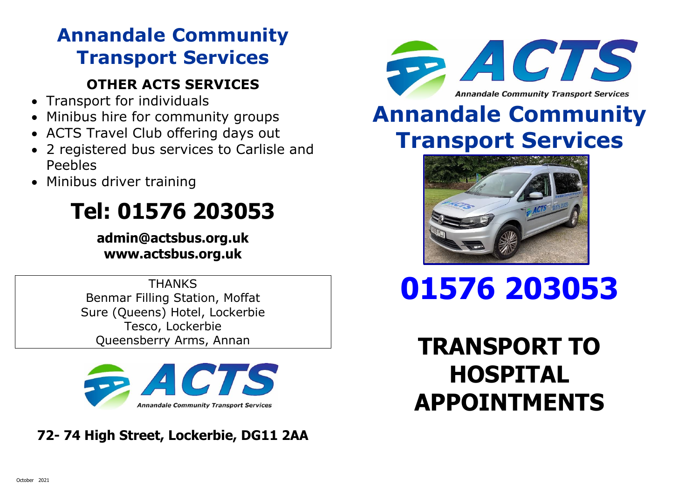## **Annandale Community Transport Services**

#### **OTHER ACTS SERVICES**

- Transport for individuals
- Minibus hire for community groups
- ACTS Travel Club offering days out
- 2 registered bus services to Carlisle and Peebles
- Minibus driver training

## **Tel: 01576 203053**

**admin@actsbus.org.uk www.actsbus.org.uk**

**THANKS** Benmar Filling Station, Moffat Sure (Queens) Hotel, Lockerbie Tesco, Lockerbie Queensberry Arms, Annan



### **72- 74 High Street, Lockerbie, DG11 2AA**



## **Annandale Community Transport Services**



# **01576 203053**

**TRANSPORT TO HOSPITAL APPOINTMENTS**